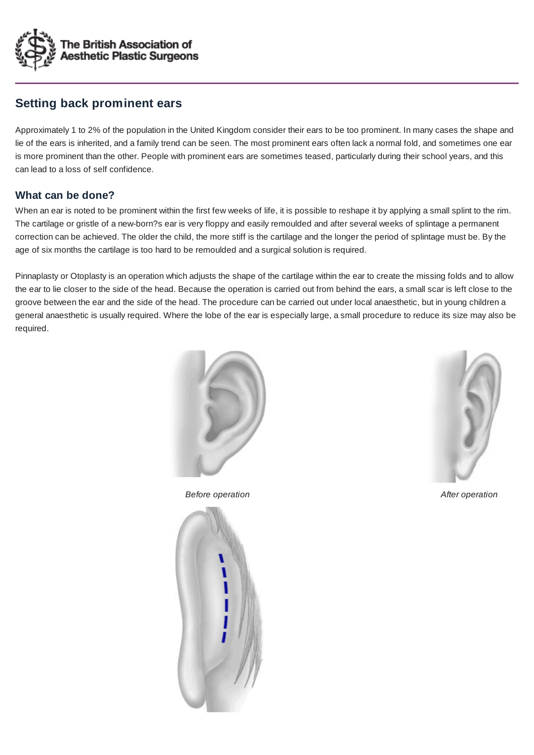

# **Setting back prominent ears**

Approximately 1 to 2% of the population in the United Kingdom consider their ears to be too prominent. In many cases the shape and lie of the ears is inherited, and a family trend can be seen. The most prominent ears often lack a normal fold, and sometimes one ear is more prominent than the other. People with prominent ears are sometimes teased, particularly during their school years, and this can lead to a loss of self confidence.

## **What can be done?**

When an ear is noted to be prominent within the first few weeks of life, it is possible to reshape it by applying a small splint to the rim. The cartilage or gristle of a new-born?s ear is very floppy and easily remoulded and after several weeks of splintage a permanent correction can be achieved. The older the child, the more stiff is the cartilage and the longer the period of splintage must be. By the age of six months the cartilage is too hard to be remoulded and a surgical solution is required.

Pinnaplasty or Otoplasty is an operation which adjusts the shape of the cartilage within the ear to create the missing folds and to allow the ear to lie closer to the side of the head. Because the operation is carried out from behind the ears, a small scar is left close to the groove between the ear and the side of the head. The procedure can be carried out under local anaesthetic, but in young children a general anaesthetic is usually required. Where the lobe of the ear is especially large, a small procedure to reduce its size may also be required.



*Before operation Before operation Before operation*